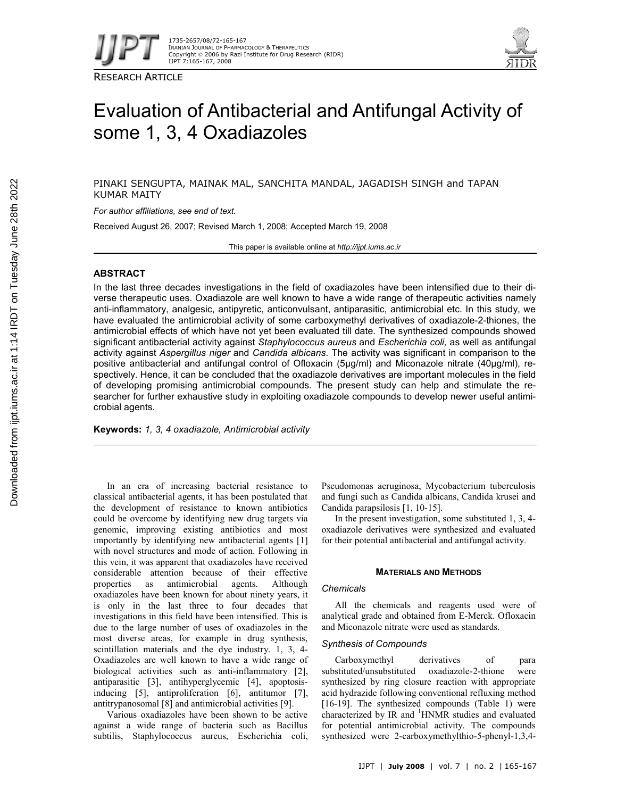

RESEARCH ARTICLE



# Evaluation of Antibacterial and Antifungal Activity of some 1, 3, 4 Oxadiazoles

PINAKI SENGUPTA, MAINAK MAL, SANCHITA MANDAL, JAGADISH SINGH and TAPAN KUMAR MAITY

*For author affiliations, see end of text.*

Received August 26, 2007; Revised March 1, 2008; Accepted March 19, 2008

This paper is available online at *http://ijpt.iums.ac.ir*

# **ABSTRACT**

In the last three decades investigations in the field of oxadiazoles have been intensified due to their diverse therapeutic uses. Oxadiazole are well known to have a wide range of therapeutic activities namely anti-inflammatory, analgesic, antipyretic, anticonvulsant, antiparasitic, antimicrobial etc. In this study, we have evaluated the antimicrobial activity of some carboxymethyl derivatives of oxadiazole-2-thiones, the antimicrobial effects of which have not yet been evaluated till date. The synthesized compounds showed significant antibacterial activity against *Staphylococcus aureus* and *Escherichia coli,* as well as antifungal activity against *Aspergillus niger* and *Candida albicans*. The activity was significant in comparison to the positive antibacterial and antifungal control of Ofloxacin (5µg/ml) and Miconazole nitrate (40µg/ml), respectively. Hence, it can be concluded that the oxadiazole derivatives are important molecules in the field of developing promising antimicrobial compounds. The present study can help and stimulate the researcher for further exhaustive study in exploiting oxadiazole compounds to develop newer useful antimicrobial agents.

**Keywords:** *1, 3, 4 oxadiazole, Antimicrobial activity*

In an era of increasing bacterial resistance to classical antibacterial agents, it has been postulated that the development of resistance to known antibiotics could be overcome by identifying new drug targets via genomic, improving existing antibiotics and most importantly by identifying new antibacterial agents [1] with novel structures and mode of action. Following in this vein, it was apparent that oxadiazoles have received considerable attention because of their effective properties as antimicrobial agents. Although oxadiazoles have been known for about ninety years, it is only in the last three to four decades that investigations in this field have been intensified. This is due to the large number of uses of oxadiazoles in the most diverse areas, for example in drug synthesis, scintillation materials and the dye industry. 1, 3, 4- Oxadiazoles are well known to have a wide range of biological activities such as anti-inflammatory [2], antiparasitic [3], antihyperglycemic [4], apoptosisinducing [5], antiproliferation [6], antitumor [7], antitrypanosomal [8] and antimicrobial activities [9].

Various oxadiazoles have been shown to be active against a wide range of bacteria such as Bacillus subtilis, Staphylococcus aureus, Escherichia coli, Pseudomonas aeruginosa, Mycobacterium tuberculosis and fungi such as Candida albicans, Candida krusei and Candida parapsilosis [1, 10-15].

In the present investigation, some substituted 1, 3, 4 oxadiazole derivatives were synthesized and evaluated for their potential antibacterial and antifungal activity.

## **MATERIALS AND METHODS**

#### *Chemicals*

All the chemicals and reagents used were of analytical grade and obtained from E-Merck. Ofloxacin and Miconazole nitrate were used as standards.

# *Synthesis of Compounds*

Carboxymethyl derivatives of para substituted/unsubstituted oxadiazole-2-thione were synthesized by ring closure reaction with appropriate acid hydrazide following conventional refluxing method [16-19]. The synthesized compounds (Table 1) were characterized by IR and <sup>1</sup>HNMR studies and evaluated for potential antimicrobial activity. The compounds synthesized were 2-carboxymethylthio-5-phenyl-1,3,4-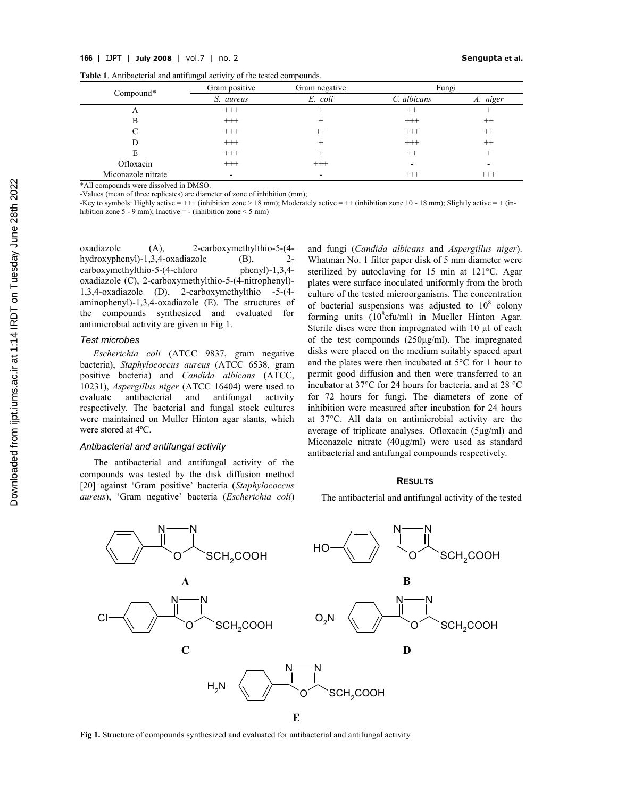| Table 1. Antibacterial and antifungal activity of the tested compounds. |  |
|-------------------------------------------------------------------------|--|
|-------------------------------------------------------------------------|--|

| Compound*          | Gram positive | Gram negative                    | Fungi       |          |
|--------------------|---------------|----------------------------------|-------------|----------|
|                    | S. aureus     | E. coli                          | C. albicans | A. niger |
| A                  | $^{+++}$      | $\hspace{0.1mm} +\hspace{0.1mm}$ | $^{++}$     |          |
| В                  | $^{+++}$      |                                  | $^{+++}$    | $^{++}$  |
|                    | $^{+++}$      | $^{++}$                          | $^{+++}$    | $^{++}$  |
|                    | $^{+++}$      | $^+$                             | $+++$       | $^{++}$  |
| E                  | $^{+++}$      |                                  | $++$        |          |
| Ofloxacin          | $^{+++}$      | $^{+++}$                         |             |          |
| Miconazole nitrate | -             | -                                | $+++$       | $^{+++}$ |

\*All compounds were dissolved in DMSO.

-Values (mean of three replicates) are diameter of zone of inhibition (mm);

-Key to symbols: Highly active =  $++$  (inhibition zone > 18 mm); Moderately active =  $++$  (inhibition zone 10 - 18 mm); Slightly active =  $+$  (inhibition zone 5 - 9 mm); Inactive = - (inhibition zone < 5 mm)

oxadiazole (A), 2-carboxymethylthio-5-(4 hydroxyphenyl)-1,3,4-oxadiazole (B), 2 carboxymethylthio-5-(4-chloro phenyl)-1,3,4 oxadiazole (C), 2-carboxymethylthio-5-(4-nitrophenyl)- 1,3,4-oxadiazole (D), 2-carboxymethylthio -5-(4 aminophenyl)-1,3,4-oxadiazole (E). The structures of the compounds synthesized and evaluated for antimicrobial activity are given in Fig 1.

#### *Test microbes*

*Escherichia coli* (ATCC 9837, gram negative bacteria), *Staphylococcus aureus* (ATCC 6538, gram positive bacteria) and *Candida albicans* (ATCC, 10231), *Aspergillus niger* (ATCC 16404) were used to evaluate antibacterial and antifungal activity respectively. The bacterial and fungal stock cultures were maintained on Muller Hinton agar slants, which were stored at 4ºC.

#### *Antibacterial and antifungal activity*

The antibacterial and antifungal activity of the compounds was tested by the disk diffusion method [20] against 'Gram positive' bacteria (*Staphylococcus aureus*), 'Gram negative' bacteria (*Escherichia coli*) and fungi (*Candida albicans* and *Aspergillus niger*). Whatman No. 1 filter paper disk of 5 mm diameter were sterilized by autoclaving for 15 min at 121°C. Agar plates were surface inoculated uniformly from the broth culture of the tested microorganisms. The concentration of bacterial suspensions was adjusted to  $10^8$  colony forming units  $(10^8$ cfu/ml) in Mueller Hinton Agar. Sterile discs were then impregnated with 10 µl of each of the test compounds (250μg/ml). The impregnated disks were placed on the medium suitably spaced apart and the plates were then incubated at 5°C for 1 hour to permit good diffusion and then were transferred to an incubator at 37°C for 24 hours for bacteria, and at 28 °C for 72 hours for fungi. The diameters of zone of inhibition were measured after incubation for 24 hours at 37°C. All data on antimicrobial activity are the average of triplicate analyses. Ofloxacin (5μg/ml) and Miconazole nitrate (40μg/ml) were used as standard antibacterial and antifungal compounds respectively.

### **RESULTS**

The antibacterial and antifungal activity of the tested



**Fig 1.** Structure of compounds synthesized and evaluated for antibacterial and antifungal activity